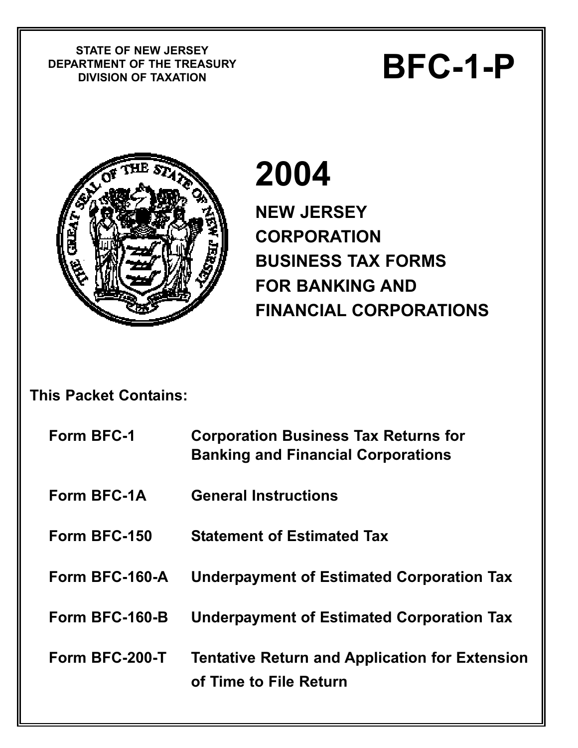**STATE OF NEW JERSEY DEPARTMENT OF THE TREASURY** STATE OF NEW JERSET<br>RTMENT OF THE TREASURY<br>DIVISION OF TAXATION



# **2004**

**NEW JERSEY CORPORATION BUSINESS TAX FORMS FOR BANKING AND FINANCIAL CORPORATIONS** 

## **This Packet Contains:**

| Form BFC-1     | <b>Corporation Business Tax Returns for</b><br><b>Banking and Financial Corporations</b> |
|----------------|------------------------------------------------------------------------------------------|
| Form BFC-1A    | <b>General Instructions</b>                                                              |
| Form BFC-150   | <b>Statement of Estimated Tax</b>                                                        |
| Form BFC-160-A | <b>Underpayment of Estimated Corporation Tax</b>                                         |
| Form BFC-160-B | <b>Underpayment of Estimated Corporation Tax</b>                                         |
| Form BFC-200-T | <b>Tentative Return and Application for Extension</b><br>of Time to File Return          |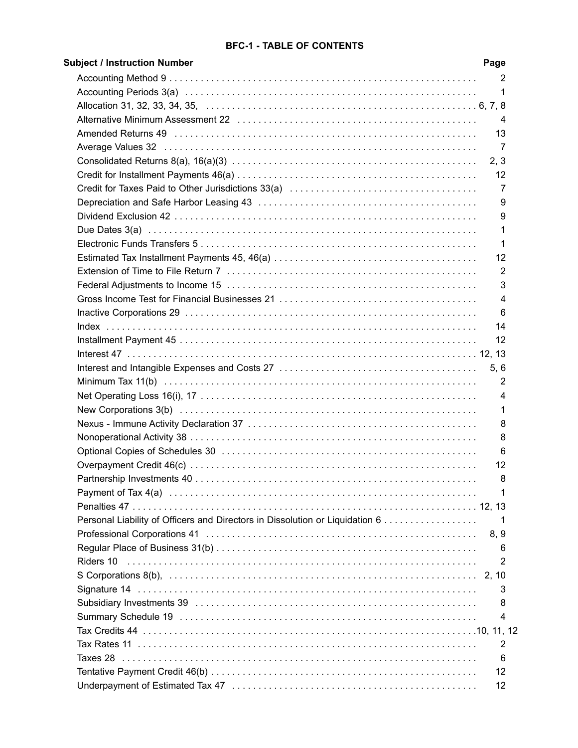#### **BFC-1 - TABLE OF CONTENTS**

| <b>Subject / Instruction Number</b>                                          | Page           |
|------------------------------------------------------------------------------|----------------|
|                                                                              | 2              |
|                                                                              | -1             |
|                                                                              |                |
|                                                                              | - 4            |
|                                                                              | 13             |
|                                                                              | -7             |
|                                                                              | 2, 3           |
|                                                                              | -12            |
|                                                                              | 7              |
|                                                                              | 9              |
|                                                                              | 9              |
|                                                                              | 1              |
|                                                                              |                |
|                                                                              | 1              |
|                                                                              | 12             |
|                                                                              | 2              |
|                                                                              | 3              |
|                                                                              | 4              |
|                                                                              | 6              |
|                                                                              | 14             |
|                                                                              | 12             |
|                                                                              |                |
|                                                                              | 5, 6           |
|                                                                              | 2              |
|                                                                              | 4              |
|                                                                              | 1              |
|                                                                              | 8              |
|                                                                              | 8              |
|                                                                              | 6              |
|                                                                              | 12             |
|                                                                              | 8              |
|                                                                              | 1              |
|                                                                              |                |
| Personal Liability of Officers and Directors in Dissolution or Liquidation 6 | 1              |
|                                                                              | 8, 9           |
|                                                                              | 6              |
| Riders 10                                                                    | 2              |
|                                                                              |                |
|                                                                              | 3              |
|                                                                              | 8              |
|                                                                              | 4              |
|                                                                              |                |
|                                                                              | $\overline{2}$ |
|                                                                              | 6              |
|                                                                              | 12             |
|                                                                              |                |
|                                                                              | 12             |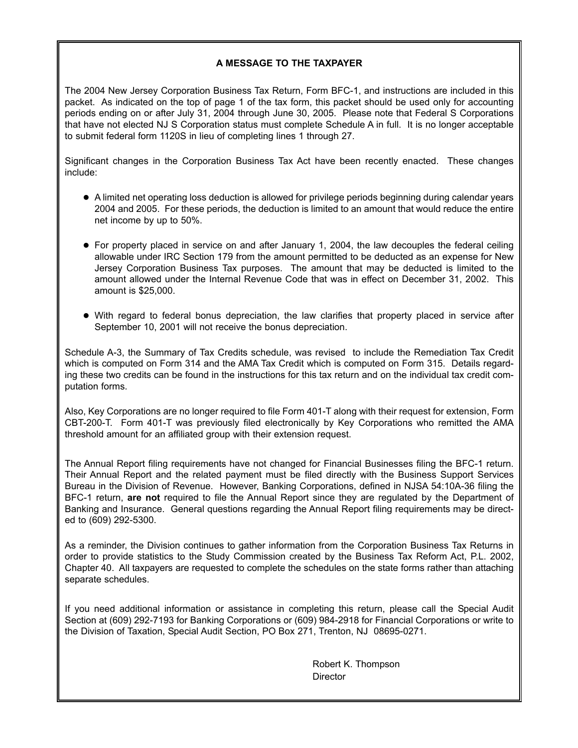#### **A MESSAGE TO THE TAXPAYER**

The 2004 New Jersey Corporation Business Tax Return, Form BFC-1, and instructions are included in this packet. As indicated on the top of page 1 of the tax form, this packet should be used only for accounting periods ending on or after July 31, 2004 through June 30, 2005. Please note that Federal S Corporations that have not elected NJ S Corporation status must complete Schedule A in full. It is no longer acceptable to submit federal form 1120S in lieu of completing lines 1 through 27.

Significant changes in the Corporation Business Tax Act have been recently enacted. These changes include:

- A limited net operating loss deduction is allowed for privilege periods beginning during calendar years 2004 and 2005. For these periods, the deduction is limited to an amount that would reduce the entire net income by up to 50%.
- For property placed in service on and after January 1, 2004, the law decouples the federal ceiling allowable under IRC Section 179 from the amount permitted to be deducted as an expense for New Jersey Corporation Business Tax purposes. The amount that may be deducted is limited to the amount allowed under the Internal Revenue Code that was in effect on December 31, 2002. This amount is \$25,000.
- With regard to federal bonus depreciation, the law clarifies that property placed in service after September 10, 2001 will not receive the bonus depreciation.

Schedule A-3, the Summary of Tax Credits schedule, was revised to include the Remediation Tax Credit which is computed on Form 314 and the AMA Tax Credit which is computed on Form 315. Details regarding these two credits can be found in the instructions for this tax return and on the individual tax credit computation forms.

Also, Key Corporations are no longer required to file Form 401-T along with their request for extension, Form CBT-200-T. Form 401-T was previously filed electronically by Key Corporations who remitted the AMA threshold amount for an affiliated group with their extension request.

The Annual Report filing requirements have not changed for Financial Businesses filing the BFC-1 return. Their Annual Report and the related payment must be filed directly with the Business Support Services Bureau in the Division of Revenue. However, Banking Corporations, defined in NJSA 54:10A-36 filing the BFC-1 return, **are not** required to file the Annual Report since they are regulated by the Department of Banking and Insurance. General questions regarding the Annual Report filing requirements may be directed to (609) 292-5300.

As a reminder, the Division continues to gather information from the Corporation Business Tax Returns in order to provide statistics to the Study Commission created by the Business Tax Reform Act, P.L. 2002, Chapter 40. All taxpayers are requested to complete the schedules on the state forms rather than attaching separate schedules.

If you need additional information or assistance in completing this return, please call the Special Audit Section at (609) 292-7193 for Banking Corporations or (609) 984-2918 for Financial Corporations or write to the Division of Taxation, Special Audit Section, PO Box 271, Trenton, NJ 08695-0271.

> Robert K. Thompson **Director**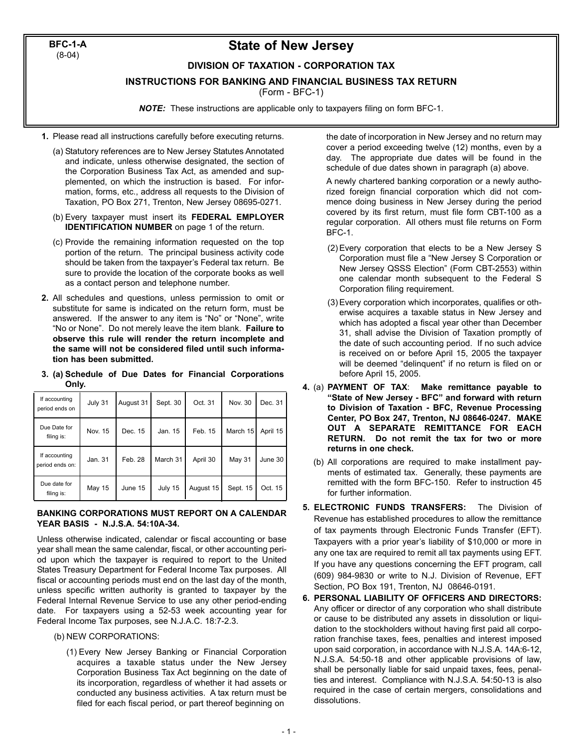**BFC-1-A** (8-04)

### **State of New Jersey**

#### **DIVISION OF TAXATION - CORPORATION TAX**

**INSTRUCTIONS FOR BANKING AND FINANCIAL BUSINESS TAX RETURN**

(Form - BFC-1)

*NOTE:* These instructions are applicable only to taxpayers filing on form BFC-1.

- **1.** Please read all instructions carefully before executing returns.
	- (a) Statutory references are to New Jersey Statutes Annotated and indicate, unless otherwise designated, the section of the Corporation Business Tax Act, as amended and supplemented, on which the instruction is based. For information, forms, etc., address all requests to the Division of Taxation, PO Box 271, Trenton, New Jersey 08695-0271.
	- (b) Every taxpayer must insert its **FEDERAL EMPLOYER IDENTIFICATION NUMBER** on page 1 of the return.
	- (c) Provide the remaining information requested on the top portion of the return. The principal business activity code should be taken from the taxpayer's Federal tax return. Be sure to provide the location of the corporate books as well as a contact person and telephone number.
- **2.** All schedules and questions, unless permission to omit or substitute for same is indicated on the return form, must be answered. If the answer to any item is "No" or "None", write "No or None". Do not merely leave the item blank. **Failure to observe this rule will render the return incomplete and the same will not be considered filed until such information has been submitted.**
- **3. (a) Schedule of Due Dates for Financial Corporations Only.**

| If accounting<br>period ends on  | July 31 | August 31 | Sept. 30 | Oct. 31   | Nov. 30       | Dec. 31  |
|----------------------------------|---------|-----------|----------|-----------|---------------|----------|
| Due Date for<br>filing is:       | Nov. 15 | Dec. 15   | Jan. 15  | Feb. 15   | March 15      | April 15 |
| If accounting<br>period ends on: | Jan. 31 | Feb. 28   | March 31 | April 30  | <b>May 31</b> | June 30  |
| Due date for<br>filing is:       | May 15  | June 15   | July 15  | August 15 | Sept. 15      | Oct. 15  |

#### **BANKING CORPORATIONS MUST REPORT ON A CALENDAR YEAR BASIS - N.J.S.A. 54:10A-34.**

Unless otherwise indicated, calendar or fiscal accounting or base year shall mean the same calendar, fiscal, or other accounting period upon which the taxpayer is required to report to the United States Treasury Department for Federal Income Tax purposes. All fiscal or accounting periods must end on the last day of the month, unless specific written authority is granted to taxpayer by the Federal Internal Revenue Service to use any other period-ending date. For taxpayers using a 52-53 week accounting year for Federal Income Tax purposes, see N.J.A.C. 18:7-2.3.

- (b) NEW CORPORATIONS:
	- (1) Every New Jersey Banking or Financial Corporation acquires a taxable status under the New Jersey Corporation Business Tax Act beginning on the date of its incorporation, regardless of whether it had assets or conducted any business activities. A tax return must be filed for each fiscal period, or part thereof beginning on

the date of incorporation in New Jersey and no return may cover a period exceeding twelve (12) months, even by a day. The appropriate due dates will be found in the schedule of due dates shown in paragraph (a) above.

A newly chartered banking corporation or a newly authorized foreign financial corporation which did not commence doing business in New Jersey during the period covered by its first return, must file form CBT-100 as a regular corporation. All others must file returns on Form BFC-1.

- (2) Every corporation that elects to be a New Jersey S Corporation must file a "New Jersey S Corporation or New Jersey QSSS Election" (Form CBT-2553) within one calendar month subsequent to the Federal S Corporation filing requirement.
- (3) Every corporation which incorporates, qualifies or otherwise acquires a taxable status in New Jersey and which has adopted a fiscal year other than December 31, shall advise the Division of Taxation promptly of the date of such accounting period. If no such advice is received on or before April 15, 2005 the taxpayer will be deemed "delinquent" if no return is filed on or before April 15, 2005.
- **4.** (a) **PAYMENT OF TAX**: **Make remittance payable to "State of New Jersey - BFC" and forward with return to Division of Taxation - BFC, Revenue Processing Center, PO Box 247, Trenton, NJ 08646-0247. MAKE OUT A SEPARATE REMITTANCE FOR EACH RETURN. Do not remit the tax for two or more returns in one check.**
	- (b) All corporations are required to make installment payments of estimated tax. Generally, these payments are remitted with the form BFC-150. Refer to instruction 45 for further information.
- **5. ELECTRONIC FUNDS TRANSFERS:** The Division of Revenue has established procedures to allow the remittance of tax payments through Electronic Funds Transfer (EFT). Taxpayers with a prior year's liability of \$10,000 or more in any one tax are required to remit all tax payments using EFT. If you have any questions concerning the EFT program, call (609) 984-9830 or write to N.J. Division of Revenue, EFT Section, PO Box 191, Trenton, NJ 08646-0191.
- **6. PERSONAL LIABILITY OF OFFICERS AND DIRECTORS:** Any officer or director of any corporation who shall distribute or cause to be distributed any assets in dissolution or liquidation to the stockholders without having first paid all corporation franchise taxes, fees, penalties and interest imposed upon said corporation, in accordance with N.J.S.A. 14A:6-12, N.J.S.A. 54:50-18 and other applicable provisions of law, shall be personally liable for said unpaid taxes, fees, penalties and interest. Compliance with N.J.S.A. 54:50-13 is also required in the case of certain mergers, consolidations and dissolutions.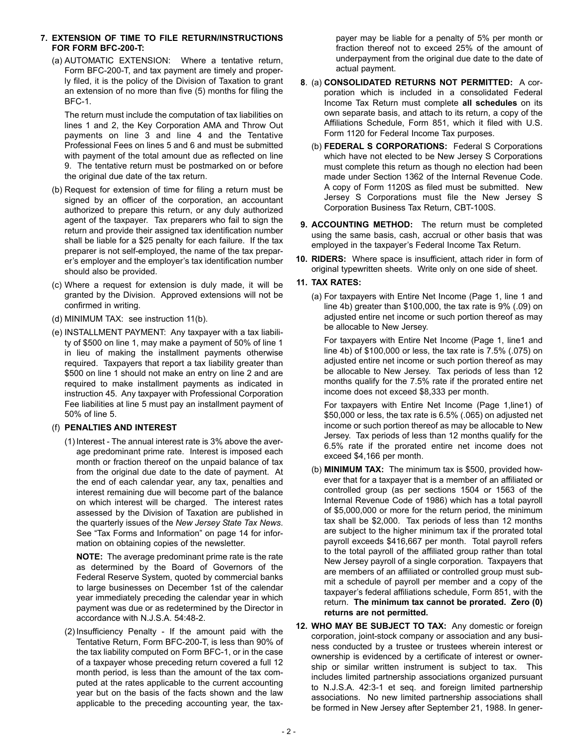#### **7. EXTENSION OF TIME TO FILE RETURN/INSTRUCTIONS FOR FORM BFC-200-T:**

(a) AUTOMATIC EXTENSION: Where a tentative return, Form BFC-200-T, and tax payment are timely and properly filed, it is the policy of the Division of Taxation to grant an extension of no more than five (5) months for filing the BFC-1.

The return must include the computation of tax liabilities on lines 1 and 2, the Key Corporation AMA and Throw Out payments on line 3 and line 4 and the Tentative Professional Fees on lines 5 and 6 and must be submitted with payment of the total amount due as reflected on line 9. The tentative return must be postmarked on or before the original due date of the tax return.

- (b) Request for extension of time for filing a return must be signed by an officer of the corporation, an accountant authorized to prepare this return, or any duly authorized agent of the taxpayer. Tax preparers who fail to sign the return and provide their assigned tax identification number shall be liable for a \$25 penalty for each failure. If the tax preparer is not self-employed, the name of the tax preparer's employer and the employer's tax identification number should also be provided.
- (c) Where a request for extension is duly made, it will be granted by the Division. Approved extensions will not be confirmed in writing.
- (d) MINIMUM TAX: see instruction 11(b).
- (e) INSTALLMENT PAYMENT: Any taxpayer with a tax liability of \$500 on line 1, may make a payment of 50% of line 1 in lieu of making the installment payments otherwise required. Taxpayers that report a tax liability greater than \$500 on line 1 should not make an entry on line 2 and are required to make installment payments as indicated in instruction 45. Any taxpayer with Professional Corporation Fee liabilities at line 5 must pay an installment payment of 50% of line 5.

#### (f) **PENALTIES AND INTEREST**

(1) Interest - The annual interest rate is 3% above the average predominant prime rate. Interest is imposed each month or fraction thereof on the unpaid balance of tax from the original due date to the date of payment. At the end of each calendar year, any tax, penalties and interest remaining due will become part of the balance on which interest will be charged. The interest rates assessed by the Division of Taxation are published in the quarterly issues of the *New Jersey State Tax News*. See "Tax Forms and Information" on page 14 for information on obtaining copies of the newsletter.

**NOTE:** The average predominant prime rate is the rate as determined by the Board of Governors of the Federal Reserve System, quoted by commercial banks to large businesses on December 1st of the calendar year immediately preceding the calendar year in which payment was due or as redetermined by the Director in accordance with N.J.S.A. 54:48-2.

(2) Insufficiency Penalty - If the amount paid with the Tentative Return, Form BFC-200-T, is less than 90% of the tax liability computed on Form BFC-1, or in the case of a taxpayer whose preceding return covered a full 12 month period, is less than the amount of the tax computed at the rates applicable to the current accounting year but on the basis of the facts shown and the law applicable to the preceding accounting year, the tax-

payer may be liable for a penalty of 5% per month or fraction thereof not to exceed 25% of the amount of underpayment from the original due date to the date of actual payment.

- **8**. (a) **CONSOLIDATED RETURNS NOT PERMITTED:** A corporation which is included in a consolidated Federal Income Tax Return must complete **all schedules** on its own separate basis, and attach to its return, a copy of the Affiliations Schedule, Form 851, which it filed with U.S. Form 1120 for Federal Income Tax purposes.
	- (b) **FEDERAL S CORPORATIONS:** Federal S Corporations which have not elected to be New Jersey S Corporations must complete this return as though no election had been made under Section 1362 of the Internal Revenue Code. A copy of Form 1120S as filed must be submitted. New Jersey S Corporations must file the New Jersey S Corporation Business Tax Return, CBT-100S.
- **9. ACCOUNTING METHOD:** The return must be completed using the same basis, cash, accrual or other basis that was employed in the taxpayer's Federal Income Tax Return.
- **10. RIDERS:** Where space is insufficient, attach rider in form of original typewritten sheets. Write only on one side of sheet.

#### **11. TAX RATES:**

(a) For taxpayers with Entire Net Income (Page 1, line 1 and line 4b) greater than \$100,000, the tax rate is 9% (.09) on adjusted entire net income or such portion thereof as may be allocable to New Jersey.

For taxpayers with Entire Net Income (Page 1, line1 and line 4b) of \$100,000 or less, the tax rate is 7.5% (.075) on adjusted entire net income or such portion thereof as may be allocable to New Jersey. Tax periods of less than 12 months qualify for the 7.5% rate if the prorated entire net income does not exceed \$8,333 per month.

For taxpayers with Entire Net Income (Page 1,line1) of \$50,000 or less, the tax rate is 6.5% (.065) on adjusted net income or such portion thereof as may be allocable to New Jersey. Tax periods of less than 12 months qualify for the 6.5% rate if the prorated entire net income does not exceed \$4,166 per month.

- (b) **MINIMUM TAX:** The minimum tax is \$500, provided however that for a taxpayer that is a member of an affiliated or controlled group (as per sections 1504 or 1563 of the Internal Revenue Code of 1986) which has a total payroll of \$5,000,000 or more for the return period, the minimum tax shall be \$2,000. Tax periods of less than 12 months are subject to the higher minimum tax if the prorated total payroll exceeds \$416,667 per month. Total payroll refers to the total payroll of the affiliated group rather than total New Jersey payroll of a single corporation. Taxpayers that are members of an affiliated or controlled group must submit a schedule of payroll per member and a copy of the taxpayer's federal affiliations schedule, Form 851, with the return. **The minimum tax cannot be prorated. Zero (0) returns are not permitted.**
- **12. WHO MAY BE SUBJECT TO TAX:** Any domestic or foreign corporation, joint-stock company or association and any business conducted by a trustee or trustees wherein interest or ownership is evidenced by a certificate of interest or ownership or similar written instrument is subject to tax. This includes limited partnership associations organized pursuant to N.J.S.A. 42:3-1 et seq. and foreign limited partnership associations. No new limited partnership associations shall be formed in New Jersey after September 21, 1988. In gener-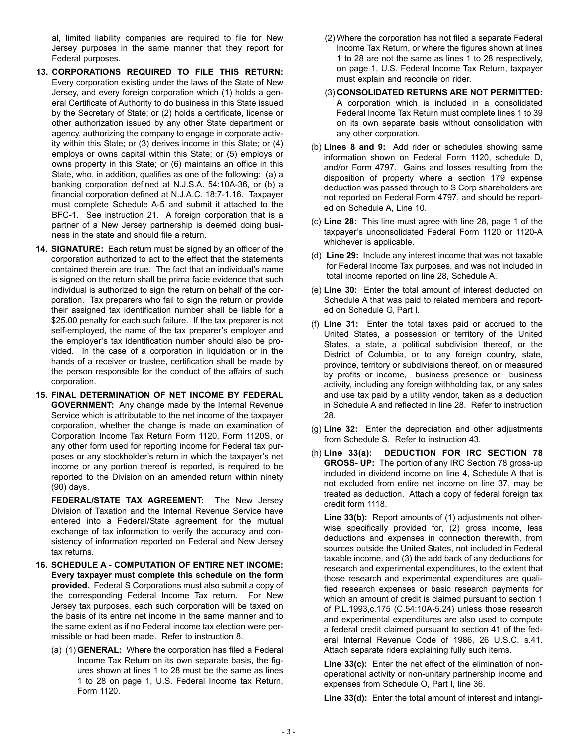al, limited liability companies are required to file for New Jersey purposes in the same manner that they report for Federal purposes.

- **13. CORPORATIONS REQUIRED TO FILE THIS RETURN:** Every corporation existing under the laws of the State of New Jersey, and every foreign corporation which (1) holds a general Certificate of Authority to do business in this State issued by the Secretary of State; or (2) holds a certificate, license or other authorization issued by any other State department or agency, authorizing the company to engage in corporate activity within this State; or (3) derives income in this State; or (4) employs or owns capital within this State; or (5) employs or owns property in this State; or (6) maintains an office in this State, who, in addition, qualifies as one of the following: (a) a banking corporation defined at N.J.S.A. 54:10A-36, or (b) a financial corporation defined at N.J.A.C. 18:7-1.16. Taxpayer must complete Schedule A-5 and submit it attached to the BFC-1. See instruction 21. A foreign corporation that is a partner of a New Jersey partnership is deemed doing business in the state and should file a return.
- **14. SIGNATURE:** Each return must be signed by an officer of the corporation authorized to act to the effect that the statements contained therein are true. The fact that an individual's name is signed on the return shall be prima facie evidence that such individual is authorized to sign the return on behalf of the corporation. Tax preparers who fail to sign the return or provide their assigned tax identification number shall be liable for a \$25.00 penalty for each such failure. If the tax preparer is not self-employed, the name of the tax preparer's employer and the employer's tax identification number should also be provided. In the case of a corporation in liquidation or in the hands of a receiver or trustee, certification shall be made by the person responsible for the conduct of the affairs of such corporation.
- **15. FINAL DETERMINATION OF NET INCOME BY FEDERAL GOVERNMENT:** Any change made by the Internal Revenue Service which is attributable to the net income of the taxpayer corporation, whether the change is made on examination of Corporation Income Tax Return Form 1120, Form 1120S, or any other form used for reporting income for Federal tax purposes or any stockholder's return in which the taxpayer's net income or any portion thereof is reported, is required to be reported to the Division on an amended return within ninety (90) days.

**FEDERAL/STATE TAX AGREEMENT:** The New Jersey Division of Taxation and the Internal Revenue Service have entered into a Federal/State agreement for the mutual exchange of tax information to verify the accuracy and consistency of information reported on Federal and New Jersey tax returns.

- **16. SCHEDULE A COMPUTATION OF ENTIRE NET INCOME: Every taxpayer must complete this schedule on the form provided.** Federal S Corporations must also submit a copy of the corresponding Federal Income Tax return. For New Jersey tax purposes, each such corporation will be taxed on the basis of its entire net income in the same manner and to the same extent as if no Federal income tax election were permissible or had been made. Refer to instruction 8.
	- (a) (1) **GENERAL:** Where the corporation has filed a Federal Income Tax Return on its own separate basis, the figures shown at lines 1 to 28 must be the same as lines 1 to 28 on page 1, U.S. Federal Income tax Return, Form 1120.
- (2) Where the corporation has not filed a separate Federal Income Tax Return, or where the figures shown at lines 1 to 28 are not the same as lines 1 to 28 respectively, on page 1, U.S. Federal Income Tax Return, taxpayer must explain and reconcile on rider.
- (3) **CONSOLIDATED RETURNS ARE NOT PERMITTED:** A corporation which is included in a consolidated Federal Income Tax Return must complete lines 1 to 39 on its own separate basis without consolidation with any other corporation.
- (b) **Lines 8 and 9:** Add rider or schedules showing same information shown on Federal Form 1120, schedule D, and/or Form 4797. Gains and losses resulting from the disposition of property where a section 179 expense deduction was passed through to S Corp shareholders are not reported on Federal Form 4797, and should be reported on Schedule A, Line 10.
- (c) **Line 28:** This line must agree with line 28, page 1 of the taxpayer's unconsolidated Federal Form 1120 or 1120-A whichever is applicable.
- (d) **Line 29:** Include any interest income that was not taxable for Federal Income Tax purposes, and was not included in total income reported on line 28, Schedule A.
- (e) **Line 30:** Enter the total amount of interest deducted on Schedule A that was paid to related members and reported on Schedule G, Part I.
- (f) **Line 31:** Enter the total taxes paid or accrued to the United States, a possession or territory of the United States, a state, a political subdivision thereof, or the District of Columbia, or to any foreign country, state, province, territory or subdivisions thereof, on or measured by profits or income, business presence or business activity, including any foreign withholding tax, or any sales and use tax paid by a utility vendor, taken as a deduction in Schedule A and reflected in line 28. Refer to instruction 28.
- (g) **Line 32:** Enter the depreciation and other adjustments from Schedule S. Refer to instruction 43.
- (h) **Line 33(a): DEDUCTION FOR IRC SECTION 78 GROSS- UP:** The portion of any IRC Section 78 gross-up included in dividend income on line 4, Schedule A that is not excluded from entire net income on line 37, may be treated as deduction. Attach a copy of federal foreign tax credit form 1118.

**Line 33(b):** Report amounts of (1) adjustments not otherwise specifically provided for, (2) gross income, less deductions and expenses in connection therewith, from sources outside the United States, not included in Federal taxable income, and (3) the add back of any deductions for research and experimental expenditures, to the extent that those research and experimental expenditures are qualified research expenses or basic research payments for which an amount of credit is claimed pursuant to section 1 of P.L.1993,c.175 (C.54:10A-5.24) unless those research and experimental expenditures are also used to compute a federal credit claimed pursuant to section 41 of the federal Internal Revenue Code of 1986, 26 U.S.C. s.41. Attach separate riders explaining fully such items.

**Line 33(c):** Enter the net effect of the elimination of nonoperational activity or non-unitary partnership income and expenses from Schedule O, Part I, line 36.

**Line 33(d):** Enter the total amount of interest and intangi-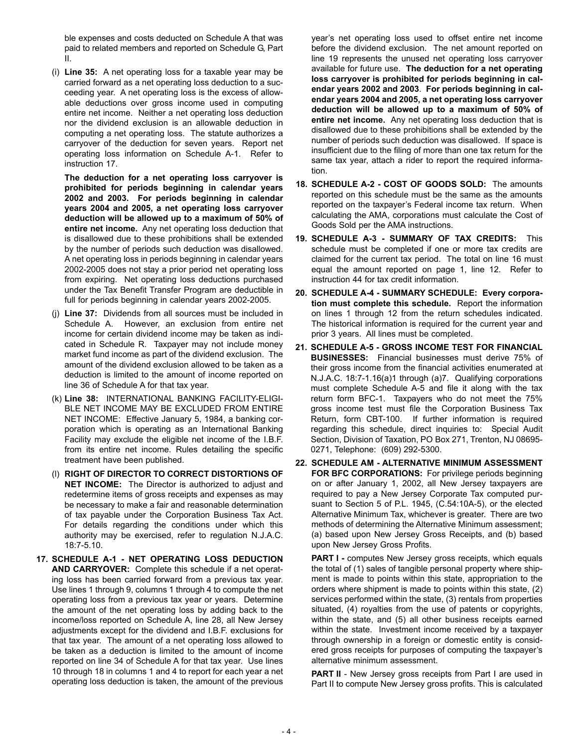ble expenses and costs deducted on Schedule A that was paid to related members and reported on Schedule G, Part II.

(i) **Line 35:** A net operating loss for a taxable year may be carried forward as a net operating loss deduction to a succeeding year. A net operating loss is the excess of allowable deductions over gross income used in computing entire net income. Neither a net operating loss deduction nor the dividend exclusion is an allowable deduction in computing a net operating loss. The statute authorizes a carryover of the deduction for seven years. Report net operating loss information on Schedule A-1. Refer to instruction 17.

**The deduction for a net operating loss carryover is prohibited for periods beginning in calendar years 2002 and 2003. For periods beginning in calendar years 2004 and 2005, a net operating loss carryover deduction will be allowed up to a maximum of 50% of entire net income.** Any net operating loss deduction that is disallowed due to these prohibitions shall be extended by the number of periods such deduction was disallowed. A net operating loss in periods beginning in calendar years 2002-2005 does not stay a prior period net operating loss from expiring. Net operating loss deductions purchased under the Tax Benefit Transfer Program are deductible in full for periods beginning in calendar years 2002-2005.

- (j) **Line 37:** Dividends from all sources must be included in Schedule A. However, an exclusion from entire net income for certain dividend income may be taken as indicated in Schedule R. Taxpayer may not include money market fund income as part of the dividend exclusion. The amount of the dividend exclusion allowed to be taken as a deduction is limited to the amount of income reported on line 36 of Schedule A for that tax year.
- (k) **Line 38:** INTERNATIONAL BANKING FACILITY-ELIGI-BLE NET INCOME MAY BE EXCLUDED FROM ENTIRE NET INCOME: Effective January 5, 1984, a banking corporation which is operating as an International Banking Facility may exclude the eligible net income of the I.B.F. from its entire net income. Rules detailing the specific treatment have been published.
- (l) **RIGHT OF DIRECTOR TO CORRECT DISTORTIONS OF NET INCOME:** The Director is authorized to adjust and redetermine items of gross receipts and expenses as may be necessary to make a fair and reasonable determination of tax payable under the Corporation Business Tax Act. For details regarding the conditions under which this authority may be exercised, refer to regulation N.J.A.C. 18:7-5.10.
- **17. SCHEDULE A-1 NET OPERATING LOSS DEDUCTION AND CARRYOVER:** Complete this schedule if a net operating loss has been carried forward from a previous tax year. Use lines 1 through 9, columns 1 through 4 to compute the net operating loss from a previous tax year or years. Determine the amount of the net operating loss by adding back to the income/loss reported on Schedule A, line 28, all New Jersey adjustments except for the dividend and I.B.F. exclusions for that tax year. The amount of a net operating loss allowed to be taken as a deduction is limited to the amount of income reported on line 34 of Schedule A for that tax year. Use lines 10 through 18 in columns 1 and 4 to report for each year a net operating loss deduction is taken, the amount of the previous

year's net operating loss used to offset entire net income before the dividend exclusion. The net amount reported on line 19 represents the unused net operating loss carryover available for future use. **The deduction for a net operating loss carryover is prohibited for periods beginning in calendar years 2002 and 2003**. **For periods beginning in calendar years 2004 and 2005, a net operating loss carryover deduction will be allowed up to a maximum of 50% of entire net income.** Any net operating loss deduction that is disallowed due to these prohibitions shall be extended by the number of periods such deduction was disallowed. If space is insufficient due to the filing of more than one tax return for the same tax year, attach a rider to report the required information.

- **18. SCHEDULE A-2 COST OF GOODS SOLD:** The amounts reported on this schedule must be the same as the amounts reported on the taxpayer's Federal income tax return. When calculating the AMA, corporations must calculate the Cost of Goods Sold per the AMA instructions.
- **19. SCHEDULE A-3 SUMMARY OF TAX CREDITS:** This schedule must be completed if one or more tax credits are claimed for the current tax period. The total on line 16 must equal the amount reported on page 1, line 12. Refer to instruction 44 for tax credit information.
- **20. SCHEDULE A-4 SUMMARY SCHEDULE: Every corporation must complete this schedule.** Report the information on lines 1 through 12 from the return schedules indicated. The historical information is required for the current year and prior 3 years. All lines must be completed.
- **21. SCHEDULE A-5 GROSS INCOME TEST FOR FINANCIAL BUSINESSES:** Financial businesses must derive 75% of their gross income from the financial activities enumerated at N.J.A.C. 18:7-1.16(a)1 through (a)7. Qualifying corporations must complete Schedule A-5 and file it along with the tax return form BFC-1. Taxpayers who do not meet the 75% gross income test must file the Corporation Business Tax Return, form CBT-100. If further information is required regarding this schedule, direct inquiries to: Special Audit Section, Division of Taxation, PO Box 271, Trenton, NJ 08695- 0271, Telephone: (609) 292-5300.
- **22. SCHEDULE AM ALTERNATIVE MINIMUM ASSESSMENT FOR BFC CORPORATIONS:** For privilege periods beginning on or after January 1, 2002, all New Jersey taxpayers are required to pay a New Jersey Corporate Tax computed pursuant to Section 5 of P.L. 1945, (C.54:10A-5), or the elected Alternative Minimum Tax, whichever is greater. There are two methods of determining the Alternative Minimum assessment; (a) based upon New Jersey Gross Receipts, and (b) based upon New Jersey Gross Profits.

**PART I -** computes New Jersey gross receipts, which equals the total of (1) sales of tangible personal property where shipment is made to points within this state, appropriation to the orders where shipment is made to points within this state, (2) services performed within the state, (3) rentals from properties situated, (4) royalties from the use of patents or copyrights, within the state, and (5) all other business receipts earned within the state. Investment income received by a taxpayer through ownership in a foreign or domestic entity is considered gross receipts for purposes of computing the taxpayer's alternative minimum assessment.

**PART II** - New Jersey gross receipts from Part I are used in Part II to compute New Jersey gross profits. This is calculated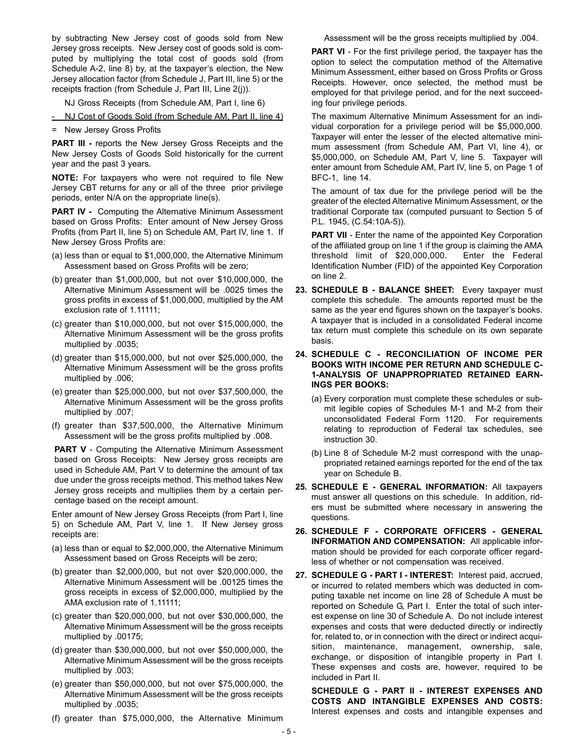by subtracting New Jersey cost of goods sold from New Jersey gross receipts. New Jersey cost of goods sold is computed by multiplying the total cost of goods sold (from Schedule A-2, line 8) by, at the taxpayer's election, the New Jersey allocation factor (from Schedule J, Part III, line 5) or the receipts fraction (from Schedule J, Part III, Line 2(j)).

NJ Gross Receipts (from Schedule AM, Part I, line 6)

- NJ Cost of Goods Sold (from Schedule AM, Part II, line 4)

= New Jersey Gross Profits

**PART III -** reports the New Jersey Gross Receipts and the New Jersey Costs of Goods Sold historically for the current year and the past 3 years.

**NOTE:** For taxpayers who were not required to file New Jersey CBT returns for any or all of the three prior privilege periods, enter N/A on the appropriate line(s).

**PART IV -** Computing the Alternative Minimum Assessment based on Gross Profits: Enter amount of New Jersey Gross Profits (from Part II, line 5) on Schedule AM, Part IV, line 1. If New Jersey Gross Profits are:

- (a) less than or equal to \$1,000,000, the Alternative Minimum Assessment based on Gross Profits will be zero;
- (b) greater than \$1,000,000, but not over \$10,000,000, the Alternative Minimum Assessment will be .0025 times the gross profits in excess of \$1,000,000, multiplied by the AM exclusion rate of 1.11111;
- (c) greater than \$10,000,000, but not over \$15,000,000, the Alternative Minimum Assessment will be the gross profits multiplied by .0035;
- (d) greater than \$15,000,000, but not over \$25,000,000, the Alternative Minimum Assessment will be the gross profits multiplied by .006;
- (e) greater than \$25,000,000, but not over \$37,500,000, the Alternative Minimum Assessment will be the gross profits multiplied by .007;
- (f) greater than \$37,500,000, the Alternative Minimum Assessment will be the gross profits multiplied by .008.

**PART V** - Computing the Alternative Minimum Assessment based on Gross Receipts: New Jersey gross receipts are used in Schedule AM, Part V to determine the amount of tax due under the gross receipts method. This method takes New Jersey gross receipts and multiplies them by a certain percentage based on the receipt amount.

Enter amount of New Jersey Gross Receipts (from Part I, line 5) on Schedule AM, Part V, line 1. If New Jersey gross receipts are:

- (a) less than or equal to \$2,000,000, the Alternative Minimum Assessment based on Gross Receipts will be zero;
- (b) greater than \$2,000,000, but not over \$20,000,000, the Alternative Minimum Assessment will be .00125 times the gross receipts in excess of \$2,000,000, multiplied by the AMA exclusion rate of 1.11111;
- (c) greater than \$20,000,000, but not over \$30,000,000, the Alternative Minimum Assessment will be the gross receipts multiplied by .00175;
- (d) greater than \$30,000,000, but not over \$50,000,000, the Alternative Minimum Assessment will be the gross receipts multiplied by .003;
- (e) greater than \$50,000,000, but not over \$75,000,000, the Alternative Minimum Assessment will be the gross receipts multiplied by .0035;
- (f) greater than \$75,000,000, the Alternative Minimum

Assessment will be the gross receipts multiplied by .004.

**PART VI** - For the first privilege period, the taxpayer has the option to select the computation method of the Alternative Minimum Assessment, either based on Gross Profits or Gross Receipts. However, once selected, the method must be employed for that privilege period, and for the next succeeding four privilege periods.

The maximum Alternative Minimum Assessment for an individual corporation for a privilege period will be \$5,000,000. Taxpayer will enter the lesser of the elected alternative minimum assessment (from Schedule AM, Part VI, line 4), or \$5,000,000, on Schedule AM, Part V, line 5. Taxpayer will enter amount from Schedule AM, Part IV, line 5, on Page 1 of BFC-1, line 14.

The amount of tax due for the privilege period will be the greater of the elected Alternative Minimum Assessment, or the traditional Corporate tax (computed pursuant to Section 5 of P.L. 1945, (C.54:10A-5)).

**PART VII** - Enter the name of the appointed Key Corporation of the affiliated group on line 1 if the group is claiming the AMA threshold limit of \$20,000,000. Enter the Federal Identification Number (FID) of the appointed Key Corporation on line 2.

- **23. SCHEDULE B BALANCE SHEET:** Every taxpayer must complete this schedule. The amounts reported must be the same as the year end figures shown on the taxpayer's books. A taxpayer that is included in a consolidated Federal income tax return must complete this schedule on its own separate basis.
- **24. SCHEDULE C RECONCILIATION OF INCOME PER BOOKS WITH INCOME PER RETURN AND SCHEDULE C-1-ANALYSIS OF UNAPPROPRIATED RETAINED EARN-INGS PER BOOKS:**
	- (a) Every corporation must complete these schedules or submit legible copies of Schedules M-1 and M-2 from their unconsolidated Federal Form 1120. For requirements relating to reproduction of Federal tax schedules, see instruction 30.
	- (b) Line 8 of Schedule M-2 must correspond with the unappropriated retained earnings reported for the end of the tax year on Schedule B.
- **25. SCHEDULE E GENERAL INFORMATION:** All taxpayers must answer all questions on this schedule. In addition, riders must be submitted where necessary in answering the questions.
- **26. SCHEDULE F CORPORATE OFFICERS GENERAL INFORMATION AND COMPENSATION:** All applicable information should be provided for each corporate officer regardless of whether or not compensation was received.
- **27. SCHEDULE G PART I INTEREST:** Interest paid, accrued, or incurred to related members which was deducted in computing taxable net income on line 28 of Schedule A must be reported on Schedule G, Part I. Enter the total of such interest expense on line 30 of Schedule A. Do not include interest expenses and costs that were deducted directly or indirectly for, related to, or in connection with the direct or indirect acquisition, maintenance, management, ownership, sale, exchange, or disposition of intangible property in Part I. These expenses and costs are, however, required to be included in Part II.

**SCHEDULE G - PART II - INTEREST EXPENSES AND COSTS AND INTANGIBLE EXPENSES AND COSTS:** Interest expenses and costs and intangible expenses and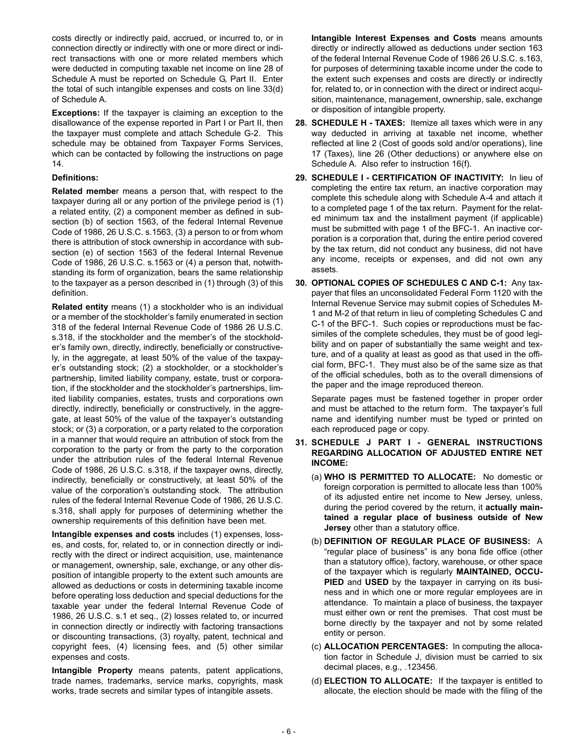costs directly or indirectly paid, accrued, or incurred to, or in connection directly or indirectly with one or more direct or indirect transactions with one or more related members which were deducted in computing taxable net income on line 28 of Schedule A must be reported on Schedule G, Part II. Enter the total of such intangible expenses and costs on line 33(d) of Schedule A.

**Exceptions:** If the taxpayer is claiming an exception to the disallowance of the expense reported in Part I or Part II, then the taxpayer must complete and attach Schedule G-2. This schedule may be obtained from Taxpayer Forms Services, which can be contacted by following the instructions on page 14.

#### **Definitions:**

**Related membe**r means a person that, with respect to the taxpayer during all or any portion of the privilege period is (1) a related entity, (2) a component member as defined in subsection (b) of section 1563, of the federal Internal Revenue Code of 1986, 26 U.S.C. s.1563, (3) a person to or from whom there is attribution of stock ownership in accordance with subsection (e) of section 1563 of the federal Internal Revenue Code of 1986, 26 U.S.C. s.1563 or (4) a person that, notwithstanding its form of organization, bears the same relationship to the taxpayer as a person described in (1) through (3) of this definition.

**Related entity** means (1) a stockholder who is an individual or a member of the stockholder's family enumerated in section 318 of the federal Internal Revenue Code of 1986 26 U.S.C. s.318, if the stockholder and the member's of the stockholder's family own, directly, indirectly, beneficially or constructively, in the aggregate, at least 50% of the value of the taxpayer's outstanding stock; (2) a stockholder, or a stockholder's partnership, limited liability company, estate, trust or corporation, if the stockholder and the stockholder's partnerships, limited liability companies, estates, trusts and corporations own directly, indirectly, beneficially or constructively, in the aggregate, at least 50% of the value of the taxpayer's outstanding stock; or (3) a corporation, or a party related to the corporation in a manner that would require an attribution of stock from the corporation to the party or from the party to the corporation under the attribution rules of the federal Internal Revenue Code of 1986, 26 U.S.C. s.318, if the taxpayer owns, directly, indirectly, beneficially or constructively, at least 50% of the value of the corporation's outstanding stock. The attribution rules of the federal Internal Revenue Code of 1986, 26 U.S.C. s.318, shall apply for purposes of determining whether the ownership requirements of this definition have been met.

**Intangible expenses and costs** includes (1) expenses, losses, and costs, for, related to, or in connection directly or indirectly with the direct or indirect acquisition, use, maintenance or management, ownership, sale, exchange, or any other disposition of intangible property to the extent such amounts are allowed as deductions or costs in determining taxable income before operating loss deduction and special deductions for the taxable year under the federal Internal Revenue Code of 1986, 26 U.S.C. s.1 et seq., (2) losses related to, or incurred in connection directly or indirectly with factoring transactions or discounting transactions, (3) royalty, patent, technical and copyright fees, (4) licensing fees, and (5) other similar expenses and costs.

**Intangible Property** means patents, patent applications, trade names, trademarks, service marks, copyrights, mask works, trade secrets and similar types of intangible assets.

**Intangible Interest Expenses and Costs** means amounts directly or indirectly allowed as deductions under section 163 of the federal Internal Revenue Code of 1986 26 U.S.C. s.163, for purposes of determining taxable income under the code to the extent such expenses and costs are directly or indirectly for, related to, or in connection with the direct or indirect acquisition, maintenance, management, ownership, sale, exchange or disposition of intangible property.

- **28. SCHEDULE H TAXES:** Itemize all taxes which were in any way deducted in arriving at taxable net income, whether reflected at line 2 (Cost of goods sold and/or operations), line 17 (Taxes), line 26 (Other deductions) or anywhere else on Schedule A. Also refer to instruction 16(f).
- **29. SCHEDULE I CERTIFICATION OF INACTIVITY:** In lieu of completing the entire tax return, an inactive corporation may complete this schedule along with Schedule A-4 and attach it to a completed page 1 of the tax return. Payment for the related minimum tax and the installment payment (if applicable) must be submitted with page 1 of the BFC-1. An inactive corporation is a corporation that, during the entire period covered by the tax return, did not conduct any business, did not have any income, receipts or expenses, and did not own any assets.
- **30. OPTIONAL COPIES OF SCHEDULES C AND C-1:** Any taxpayer that files an unconsolidated Federal Form 1120 with the Internal Revenue Service may submit copies of Schedules M-1 and M-2 of that return in lieu of completing Schedules C and C-1 of the BFC-1. Such copies or reproductions must be facsimiles of the complete schedules, they must be of good legibility and on paper of substantially the same weight and texture, and of a quality at least as good as that used in the official form, BFC-1. They must also be of the same size as that of the official schedules, both as to the overall dimensions of the paper and the image reproduced thereon.

Separate pages must be fastened together in proper order and must be attached to the return form. The taxpayer's full name and identifying number must be typed or printed on each reproduced page or copy.

- **31. SCHEDULE J PART I GENERAL INSTRUCTIONS REGARDING ALLOCATION OF ADJUSTED ENTIRE NET INCOME:**
	- (a) **WHO IS PERMITTED TO ALLOCATE:** No domestic or foreign corporation is permitted to allocate less than 100% of its adjusted entire net income to New Jersey, unless, during the period covered by the return, it **actually maintained a regular place of business outside of New Jersey** other than a statutory office.
	- (b) **DEFINITION OF REGULAR PLACE OF BUSINESS:** A "regular place of business" is any bona fide office (other than a statutory office), factory, warehouse, or other space of the taxpayer which is regularly **MAINTAINED, OCCU-PIED** and **USED** by the taxpayer in carrying on its business and in which one or more regular employees are in attendance. To maintain a place of business, the taxpayer must either own or rent the premises. That cost must be borne directly by the taxpayer and not by some related entity or person.
	- (c) **ALLOCATION PERCENTAGES:** In computing the allocation factor in Schedule J, division must be carried to six decimal places, e.g., .123456.
	- (d) **ELECTION TO ALLOCATE:** If the taxpayer is entitled to allocate, the election should be made with the filing of the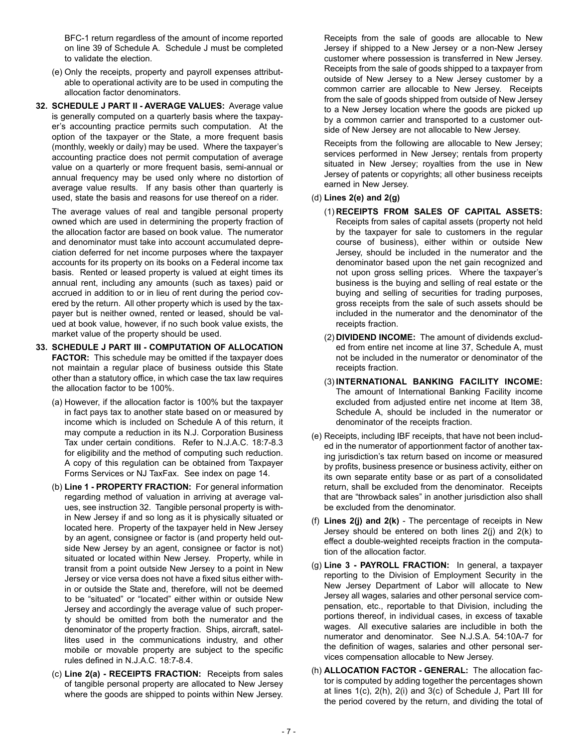BFC-1 return regardless of the amount of income reported on line 39 of Schedule A. Schedule J must be completed to validate the election.

- (e) Only the receipts, property and payroll expenses attributable to operational activity are to be used in computing the allocation factor denominators.
- **32. SCHEDULE J PART II AVERAGE VALUES:** Average value is generally computed on a quarterly basis where the taxpayer's accounting practice permits such computation. At the option of the taxpayer or the State, a more frequent basis (monthly, weekly or daily) may be used. Where the taxpayer's accounting practice does not permit computation of average value on a quarterly or more frequent basis, semi-annual or annual frequency may be used only where no distortion of average value results. If any basis other than quarterly is used, state the basis and reasons for use thereof on a rider.

The average values of real and tangible personal property owned which are used in determining the property fraction of the allocation factor are based on book value. The numerator and denominator must take into account accumulated depreciation deferred for net income purposes where the taxpayer accounts for its property on its books on a Federal income tax basis. Rented or leased property is valued at eight times its annual rent, including any amounts (such as taxes) paid or accrued in addition to or in lieu of rent during the period covered by the return. All other property which is used by the taxpayer but is neither owned, rented or leased, should be valued at book value, however, if no such book value exists, the market value of the property should be used.

- **33. SCHEDULE J PART III COMPUTATION OF ALLOCATION FACTOR:** This schedule may be omitted if the taxpayer does not maintain a regular place of business outside this State other than a statutory office, in which case the tax law requires the allocation factor to be 100%.
	- (a) However, if the allocation factor is 100% but the taxpayer in fact pays tax to another state based on or measured by income which is included on Schedule A of this return, it may compute a reduction in its N.J. Corporation Business Tax under certain conditions. Refer to N.J.A.C. 18:7-8.3 for eligibility and the method of computing such reduction. A copy of this regulation can be obtained from Taxpayer Forms Services or NJ TaxFax. See index on page 14.
	- (b) **Line 1 PROPERTY FRACTION:** For general information regarding method of valuation in arriving at average values, see instruction 32. Tangible personal property is within New Jersey if and so long as it is physically situated or located here. Property of the taxpayer held in New Jersey by an agent, consignee or factor is (and property held outside New Jersey by an agent, consignee or factor is not) situated or located within New Jersey. Property, while in transit from a point outside New Jersey to a point in New Jersey or vice versa does not have a fixed situs either within or outside the State and, therefore, will not be deemed to be "situated" or "located" either within or outside New Jersey and accordingly the average value of such property should be omitted from both the numerator and the denominator of the property fraction. Ships, aircraft, satellites used in the communications industry, and other mobile or movable property are subject to the specific rules defined in N.J.A.C. 18:7-8.4.
	- (c) **Line 2(a) RECEIPTS FRACTION:** Receipts from sales of tangible personal property are allocated to New Jersey where the goods are shipped to points within New Jersey.

Receipts from the sale of goods are allocable to New Jersey if shipped to a New Jersey or a non-New Jersey customer where possession is transferred in New Jersey. Receipts from the sale of goods shipped to a taxpayer from outside of New Jersey to a New Jersey customer by a common carrier are allocable to New Jersey. Receipts from the sale of goods shipped from outside of New Jersey to a New Jersey location where the goods are picked up by a common carrier and transported to a customer outside of New Jersey are not allocable to New Jersey.

Receipts from the following are allocable to New Jersey; services performed in New Jersey; rentals from property situated in New Jersey; royalties from the use in New Jersey of patents or copyrights; all other business receipts earned in New Jersey.

#### (d) **Lines 2(e) and 2(g)**

- (1) **RECEIPTS FROM SALES OF CAPITAL ASSETS:** Receipts from sales of capital assets (property not held by the taxpayer for sale to customers in the regular course of business), either within or outside New Jersey, should be included in the numerator and the denominator based upon the net gain recognized and not upon gross selling prices. Where the taxpayer's business is the buying and selling of real estate or the buying and selling of securities for trading purposes, gross receipts from the sale of such assets should be included in the numerator and the denominator of the receipts fraction.
- (2) **DIVIDEND INCOME:** The amount of dividends excluded from entire net income at line 37, Schedule A, must not be included in the numerator or denominator of the receipts fraction.
- (3) **INTERNATIONAL BANKING FACILITY INCOME:** The amount of International Banking Facility income excluded from adjusted entire net income at Item 38, Schedule A, should be included in the numerator or denominator of the receipts fraction.
- (e) Receipts, including IBF receipts, that have not been included in the numerator of apportionment factor of another taxing jurisdiction's tax return based on income or measured by profits, business presence or business activity, either on its own separate entity base or as part of a consolidated return, shall be excluded from the denominator. Receipts that are "throwback sales" in another jurisdiction also shall be excluded from the denominator.
- (f) **Lines 2(j) and 2(k)**  The percentage of receipts in New Jersey should be entered on both lines 2(j) and 2(k) to effect a double-weighted receipts fraction in the computation of the allocation factor.
- (g) **Line 3 PAYROLL FRACTION:** In general, a taxpayer reporting to the Division of Employment Security in the New Jersey Department of Labor will allocate to New Jersey all wages, salaries and other personal service compensation, etc., reportable to that Division, including the portions thereof, in individual cases, in excess of taxable wages. All executive salaries are includible in both the numerator and denominator. See N.J.S.A. 54:10A-7 for the definition of wages, salaries and other personal services compensation allocable to New Jersey.
- (h) **ALLOCATION FACTOR GENERAL:** The allocation factor is computed by adding together the percentages shown at lines 1(c), 2(h), 2(i) and 3(c) of Schedule J, Part III for the period covered by the return, and dividing the total of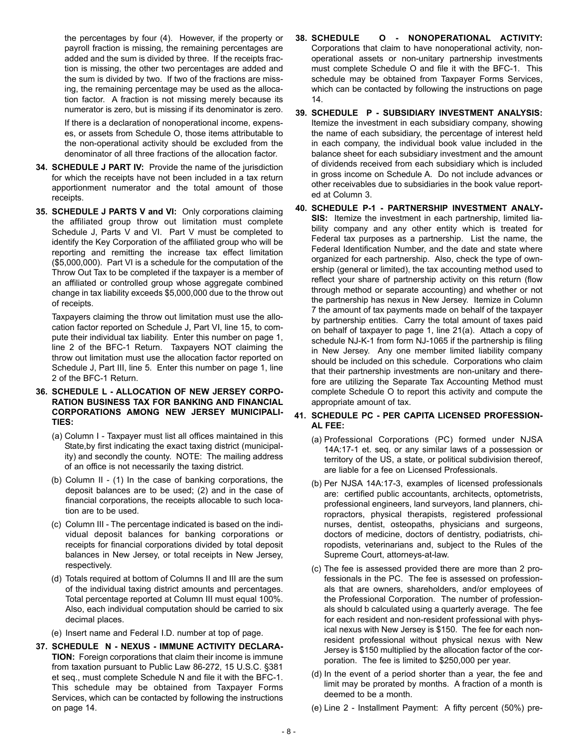the percentages by four (4). However, if the property or payroll fraction is missing, the remaining percentages are added and the sum is divided by three. If the receipts fraction is missing, the other two percentages are added and the sum is divided by two. If two of the fractions are missing, the remaining percentage may be used as the allocation factor. A fraction is not missing merely because its numerator is zero, but is missing if its denominator is zero.

If there is a declaration of nonoperational income, expenses, or assets from Schedule O, those items attributable to the non-operational activity should be excluded from the denominator of all three fractions of the allocation factor.

- **34. SCHEDULE J PART IV:** Provide the name of the jurisdiction for which the receipts have not been included in a tax return apportionment numerator and the total amount of those receipts.
- **35. SCHEDULE J PARTS V and VI:** Only corporations claiming the affiliated group throw out limitation must complete Schedule J, Parts V and VI. Part V must be completed to identify the Key Corporation of the affiliated group who will be reporting and remitting the increase tax effect limitation (\$5,000,000). Part VI is a schedule for the computation of the Throw Out Tax to be completed if the taxpayer is a member of an affiliated or controlled group whose aggregate combined change in tax liability exceeds \$5,000,000 due to the throw out of receipts.

Taxpayers claiming the throw out limitation must use the allocation factor reported on Schedule J, Part VI, line 15, to compute their individual tax liability. Enter this number on page 1, line 2 of the BFC-1 Return. Taxpayers NOT claiming the throw out limitation must use the allocation factor reported on Schedule J, Part III, line 5. Enter this number on page 1, line 2 of the BFC-1 Return.

- **36. SCHEDULE L ALLOCATION OF NEW JERSEY CORPO-RATION BUSINESS TAX FOR BANKING AND FINANCIAL CORPORATIONS AMONG NEW JERSEY MUNICIPALI-TIES:**
	- (a) Column I Taxpayer must list all offices maintained in this State,by first indicating the exact taxing district (municipality) and secondly the county. NOTE: The mailing address of an office is not necessarily the taxing district.
	- (b) Column II (1) In the case of banking corporations, the deposit balances are to be used; (2) and in the case of financial corporations, the receipts allocable to such location are to be used.
	- (c) Column III The percentage indicated is based on the individual deposit balances for banking corporations or receipts for financial corporations divided by total deposit balances in New Jersey, or total receipts in New Jersey, respectively.
	- (d) Totals required at bottom of Columns II and III are the sum of the individual taxing district amounts and percentages. Total percentage reported at Column III must equal 100%. Also, each individual computation should be carried to six decimal places.
	- (e) Insert name and Federal I.D. number at top of page.
- **37. SCHEDULE N NEXUS IMMUNE ACTIVITY DECLARA-TION:** Foreign corporations that claim their income is immune from taxation pursuant to Public Law 86-272, 15 U.S.C. §381 et seq., must complete Schedule N and file it with the BFC-1. This schedule may be obtained from Taxpayer Forms Services, which can be contacted by following the instructions on page 14.
- **38. SCHEDULE O NONOPERATIONAL ACTIVITY:** Corporations that claim to have nonoperational activity, nonoperational assets or non-unitary partnership investments must complete Schedule O and file it with the BFC-1. This schedule may be obtained from Taxpayer Forms Services, which can be contacted by following the instructions on page 14.
- **39. SCHEDULE P SUBSIDIARY INVESTMENT ANALYSIS:** Itemize the investment in each subsidiary company, showing the name of each subsidiary, the percentage of interest held in each company, the individual book value included in the balance sheet for each subsidiary investment and the amount of dividends received from each subsidiary which is included in gross income on Schedule A. Do not include advances or other receivables due to subsidiaries in the book value reported at Column 3.
- **40. SCHEDULE P-1 PARTNERSHIP INVESTMENT ANALY-SIS:** Itemize the investment in each partnership, limited liability company and any other entity which is treated for Federal tax purposes as a partnership. List the name, the Federal Identification Number, and the date and state where organized for each partnership. Also, check the type of ownership (general or limited), the tax accounting method used to reflect your share of partnership activity on this return (flow through method or separate accounting) and whether or not the partnership has nexus in New Jersey. Itemize in Column 7 the amount of tax payments made on behalf of the taxpayer by partnership entities. Carry the total amount of taxes paid on behalf of taxpayer to page 1, line 21(a). Attach a copy of schedule NJ-K-1 from form NJ-1065 if the partnership is filing in New Jersey. Any one member limited liability company should be included on this schedule. Corporations who claim that their partnership investments are non-unitary and therefore are utilizing the Separate Tax Accounting Method must complete Schedule O to report this activity and compute the appropriate amount of tax.
- **41. SCHEDULE PC PER CAPITA LICENSED PROFESSION-AL FEE:**
	- (a) Professional Corporations (PC) formed under NJSA 14A:17-1 et. seq. or any similar laws of a possession or territory of the US, a state, or political subdivision thereof, are liable for a fee on Licensed Professionals.
	- (b) Per NJSA 14A:17-3, examples of licensed professionals are: certified public accountants, architects, optometrists, professional engineers, land surveyors, land planners, chiropractors, physical therapists, registered professional nurses, dentist, osteopaths, physicians and surgeons, doctors of medicine, doctors of dentistry, podiatrists, chiropodists, veterinarians and, subject to the Rules of the Supreme Court, attorneys-at-law.
	- (c) The fee is assessed provided there are more than 2 professionals in the PC. The fee is assessed on professionals that are owners, shareholders, and/or employees of the Professional Corporation. The number of professionals should b calculated using a quarterly average. The fee for each resident and non-resident professional with physical nexus with New Jersey is \$150. The fee for each nonresident professional without physical nexus with New Jersey is \$150 multiplied by the allocation factor of the corporation. The fee is limited to \$250,000 per year.
	- (d) In the event of a period shorter than a year, the fee and limit may be prorated by months. A fraction of a month is deemed to be a month.
	- (e) Line 2 Installment Payment: A fifty percent (50%) pre-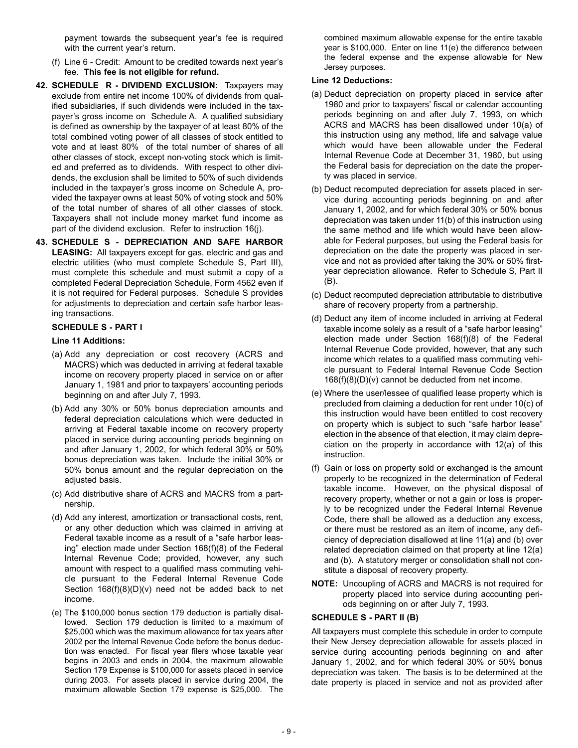payment towards the subsequent year's fee is required with the current year's return.

- (f) Line 6 Credit: Amount to be credited towards next year's fee. **This fee is not eligible for refund.**
- **42. SCHEDULE R DIVIDEND EXCLUSION:** Taxpayers may exclude from entire net income 100% of dividends from qualified subsidiaries, if such dividends were included in the taxpayer's gross income on Schedule A. A qualified subsidiary is defined as ownership by the taxpayer of at least 80% of the total combined voting power of all classes of stock entitled to vote and at least 80% of the total number of shares of all other classes of stock, except non-voting stock which is limited and preferred as to dividends. With respect to other dividends, the exclusion shall be limited to 50% of such dividends included in the taxpayer's gross income on Schedule A, provided the taxpayer owns at least 50% of voting stock and 50% of the total number of shares of all other classes of stock. Taxpayers shall not include money market fund income as part of the dividend exclusion. Refer to instruction 16(j).
- **43. SCHEDULE S DEPRECIATION AND SAFE HARBOR LEASING:** All taxpayers except for gas, electric and gas and electric utilities (who must complete Schedule S, Part III), must complete this schedule and must submit a copy of a completed Federal Depreciation Schedule, Form 4562 even if it is not required for Federal purposes. Schedule S provides for adjustments to depreciation and certain safe harbor leasing transactions.

#### **SCHEDULE S - PART I**

#### **Line 11 Additions:**

- (a) Add any depreciation or cost recovery (ACRS and MACRS) which was deducted in arriving at federal taxable income on recovery property placed in service on or after January 1, 1981 and prior to taxpayers' accounting periods beginning on and after July 7, 1993.
- (b) Add any 30% or 50% bonus depreciation amounts and federal depreciation calculations which were deducted in arriving at Federal taxable income on recovery property placed in service during accounting periods beginning on and after January 1, 2002, for which federal 30% or 50% bonus depreciation was taken. Include the initial 30% or 50% bonus amount and the regular depreciation on the adjusted basis.
- (c) Add distributive share of ACRS and MACRS from a partnership.
- (d) Add any interest, amortization or transactional costs, rent, or any other deduction which was claimed in arriving at Federal taxable income as a result of a "safe harbor leasing" election made under Section 168(f)(8) of the Federal Internal Revenue Code; provided, however, any such amount with respect to a qualified mass commuting vehicle pursuant to the Federal Internal Revenue Code Section  $168(f)(8)(D)(v)$  need not be added back to net income.
- (e) The \$100,000 bonus section 179 deduction is partially disallowed. Section 179 deduction is limited to a maximum of \$25,000 which was the maximum allowance for tax years after 2002 per the Internal Revenue Code before the bonus deduction was enacted. For fiscal year filers whose taxable year begins in 2003 and ends in 2004, the maximum allowable Section 179 Expense is \$100,000 for assets placed in service during 2003. For assets placed in service during 2004, the maximum allowable Section 179 expense is \$25,000. The

combined maximum allowable expense for the entire taxable year is \$100,000. Enter on line 11(e) the difference between the federal expense and the expense allowable for New Jersey purposes.

#### **Line 12 Deductions:**

- (a) Deduct depreciation on property placed in service after 1980 and prior to taxpayers' fiscal or calendar accounting periods beginning on and after July 7, 1993, on which ACRS and MACRS has been disallowed under 10(a) of this instruction using any method, life and salvage value which would have been allowable under the Federal Internal Revenue Code at December 31, 1980, but using the Federal basis for depreciation on the date the property was placed in service.
- (b) Deduct recomputed depreciation for assets placed in service during accounting periods beginning on and after January 1, 2002, and for which federal 30% or 50% bonus depreciation was taken under 11(b) of this instruction using the same method and life which would have been allowable for Federal purposes, but using the Federal basis for depreciation on the date the property was placed in service and not as provided after taking the 30% or 50% firstyear depreciation allowance. Refer to Schedule S, Part II (B).
- (c) Deduct recomputed depreciation attributable to distributive share of recovery property from a partnership.
- (d) Deduct any item of income included in arriving at Federal taxable income solely as a result of a "safe harbor leasing" election made under Section 168(f)(8) of the Federal Internal Revenue Code provided, however, that any such income which relates to a qualified mass commuting vehicle pursuant to Federal Internal Revenue Code Section 168(f)(8)(D)(v) cannot be deducted from net income.
- (e) Where the user/lessee of qualified lease property which is precluded from claiming a deduction for rent under 10(c) of this instruction would have been entitled to cost recovery on property which is subject to such "safe harbor lease" election in the absence of that election, it may claim depreciation on the property in accordance with 12(a) of this instruction.
- (f) Gain or loss on property sold or exchanged is the amount properly to be recognized in the determination of Federal taxable income. However, on the physical disposal of recovery property, whether or not a gain or loss is properly to be recognized under the Federal Internal Revenue Code, there shall be allowed as a deduction any excess, or there must be restored as an item of income, any deficiency of depreciation disallowed at line 11(a) and (b) over related depreciation claimed on that property at line 12(a) and (b). A statutory merger or consolidation shall not constitute a disposal of recovery property.
- **NOTE:** Uncoupling of ACRS and MACRS is not required for property placed into service during accounting periods beginning on or after July 7, 1993.

#### **SCHEDULE S - PART II (B)**

All taxpayers must complete this schedule in order to compute their New Jersey depreciation allowable for assets placed in service during accounting periods beginning on and after January 1, 2002, and for which federal 30% or 50% bonus depreciation was taken. The basis is to be determined at the date property is placed in service and not as provided after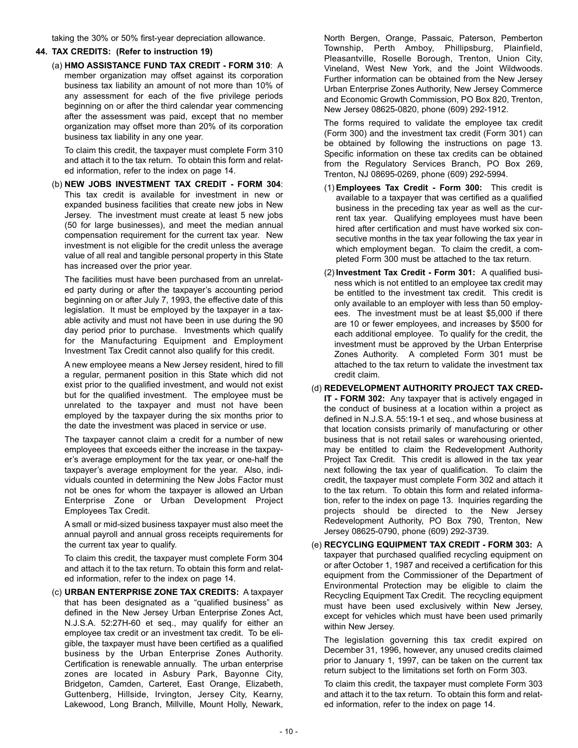taking the 30% or 50% first-year depreciation allowance.

#### **44. TAX CREDITS: (Refer to instruction 19)**

(a) **HMO ASSISTANCE FUND TAX CREDIT - FORM 310**: A member organization may offset against its corporation business tax liability an amount of not more than 10% of any assessment for each of the five privilege periods beginning on or after the third calendar year commencing after the assessment was paid, except that no member organization may offset more than 20% of its corporation business tax liability in any one year.

To claim this credit, the taxpayer must complete Form 310 and attach it to the tax return. To obtain this form and related information, refer to the index on page 14.

(b) **NEW JOBS INVESTMENT TAX CREDIT - FORM 304**: This tax credit is available for investment in new or expanded business facilities that create new jobs in New Jersey. The investment must create at least 5 new jobs (50 for large businesses), and meet the median annual compensation requirement for the current tax year. New investment is not eligible for the credit unless the average value of all real and tangible personal property in this State has increased over the prior year.

The facilities must have been purchased from an unrelated party during or after the taxpayer's accounting period beginning on or after July 7, 1993, the effective date of this legislation. It must be employed by the taxpayer in a taxable activity and must not have been in use during the 90 day period prior to purchase. Investments which qualify for the Manufacturing Equipment and Employment Investment Tax Credit cannot also qualify for this credit.

A new employee means a New Jersey resident, hired to fill a regular, permanent position in this State which did not exist prior to the qualified investment, and would not exist but for the qualified investment. The employee must be unrelated to the taxpayer and must not have been employed by the taxpayer during the six months prior to the date the investment was placed in service or use.

The taxpayer cannot claim a credit for a number of new employees that exceeds either the increase in the taxpayer's average employment for the tax year, or one-half the taxpayer's average employment for the year. Also, individuals counted in determining the New Jobs Factor must not be ones for whom the taxpayer is allowed an Urban Enterprise Zone or Urban Development Project Employees Tax Credit.

A small or mid-sized business taxpayer must also meet the annual payroll and annual gross receipts requirements for the current tax year to qualify.

To claim this credit, the taxpayer must complete Form 304 and attach it to the tax return. To obtain this form and related information, refer to the index on page 14.

(c) **URBAN ENTERPRISE ZONE TAX CREDITS:** A taxpayer that has been designated as a "qualified business" as defined in the New Jersey Urban Enterprise Zones Act, N.J.S.A. 52:27H-60 et seq., may qualify for either an employee tax credit or an investment tax credit. To be eligible, the taxpayer must have been certified as a qualified business by the Urban Enterprise Zones Authority. Certification is renewable annually. The urban enterprise zones are located in Asbury Park, Bayonne City, Bridgeton, Camden, Carteret, East Orange, Elizabeth, Guttenberg, Hillside, Irvington, Jersey City, Kearny, Lakewood, Long Branch, Millville, Mount Holly, Newark,

North Bergen, Orange, Passaic, Paterson, Pemberton Township, Perth Amboy, Phillipsburg, Plainfield, Pleasantville, Roselle Borough, Trenton, Union City, Vineland, West New York, and the Joint Wildwoods. Further information can be obtained from the New Jersey Urban Enterprise Zones Authority, New Jersey Commerce and Economic Growth Commission, PO Box 820, Trenton, New Jersey 08625-0820, phone (609) 292-1912.

The forms required to validate the employee tax credit (Form 300) and the investment tax credit (Form 301) can be obtained by following the instructions on page 13. Specific information on these tax credits can be obtained from the Regulatory Services Branch, PO Box 269, Trenton, NJ 08695-0269, phone (609) 292-5994.

- (1) **Employees Tax Credit Form 300:** This credit is available to a taxpayer that was certified as a qualified business in the preceding tax year as well as the current tax year. Qualifying employees must have been hired after certification and must have worked six consecutive months in the tax year following the tax year in which employment began. To claim the credit, a completed Form 300 must be attached to the tax return.
- (2) **Investment Tax Credit Form 301:** A qualified business which is not entitled to an employee tax credit may be entitled to the investment tax credit. This credit is only available to an employer with less than 50 employees. The investment must be at least \$5,000 if there are 10 or fewer employees, and increases by \$500 for each additional employee. To qualify for the credit, the investment must be approved by the Urban Enterprise Zones Authority. A completed Form 301 must be attached to the tax return to validate the investment tax credit claim.

#### (d) **REDEVELOPMENT AUTHORITY PROJECT TAX CRED-**

- **IT FORM 302:** Any taxpayer that is actively engaged in the conduct of business at a location within a project as defined in N.J.S.A. 55:19-1 et seq., and whose business at that location consists primarily of manufacturing or other business that is not retail sales or warehousing oriented, may be entitled to claim the Redevelopment Authority Project Tax Credit. This credit is allowed in the tax year next following the tax year of qualification. To claim the credit, the taxpayer must complete Form 302 and attach it to the tax return. To obtain this form and related information, refer to the index on page 13. Inquiries regarding the projects should be directed to the New Jersey Redevelopment Authority, PO Box 790, Trenton, New Jersey 08625-0790, phone (609) 292-3739.
- (e) **RECYCLING EQUIPMENT TAX CREDIT FORM 303:** A taxpayer that purchased qualified recycling equipment on or after October 1, 1987 and received a certification for this equipment from the Commissioner of the Department of Environmental Protection may be eligible to claim the Recycling Equipment Tax Credit. The recycling equipment must have been used exclusively within New Jersey, except for vehicles which must have been used primarily within New Jersey.

The legislation governing this tax credit expired on December 31, 1996, however, any unused credits claimed prior to January 1, 1997, can be taken on the current tax return subject to the limitations set forth on Form 303.

To claim this credit, the taxpayer must complete Form 303 and attach it to the tax return. To obtain this form and related information, refer to the index on page 14.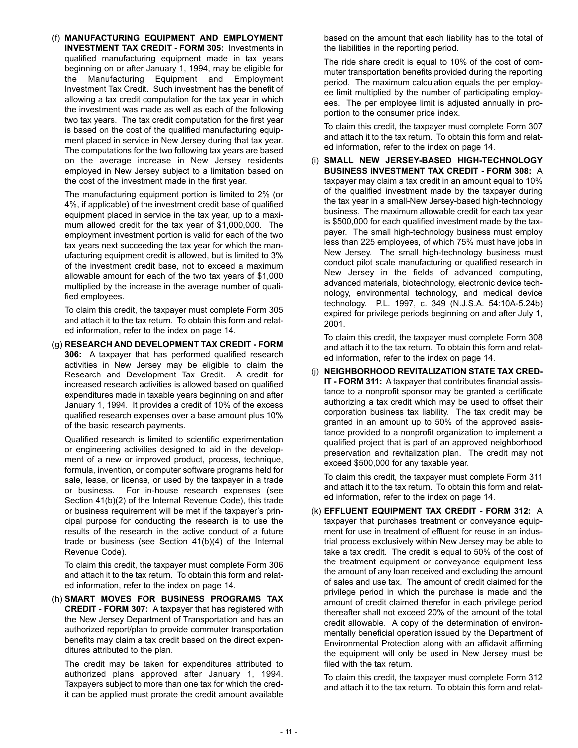(f) **MANUFACTURING EQUIPMENT AND EMPLOYMENT INVESTMENT TAX CREDIT - FORM 305:** Investments in qualified manufacturing equipment made in tax years beginning on or after January 1, 1994, may be eligible for the Manufacturing Equipment and Employment Investment Tax Credit. Such investment has the benefit of allowing a tax credit computation for the tax year in which the investment was made as well as each of the following two tax years. The tax credit computation for the first year is based on the cost of the qualified manufacturing equipment placed in service in New Jersey during that tax year. The computations for the two following tax years are based on the average increase in New Jersey residents employed in New Jersey subject to a limitation based on the cost of the investment made in the first year.

The manufacturing equipment portion is limited to 2% (or 4%, if applicable) of the investment credit base of qualified equipment placed in service in the tax year, up to a maximum allowed credit for the tax year of \$1,000,000. The employment investment portion is valid for each of the two tax years next succeeding the tax year for which the manufacturing equipment credit is allowed, but is limited to 3% of the investment credit base, not to exceed a maximum allowable amount for each of the two tax years of \$1,000 multiplied by the increase in the average number of qualified employees.

To claim this credit, the taxpayer must complete Form 305 and attach it to the tax return. To obtain this form and related information, refer to the index on page 14.

(g) **RESEARCH AND DEVELOPMENT TAX CREDIT - FORM 306:** A taxpayer that has performed qualified research activities in New Jersey may be eligible to claim the Research and Development Tax Credit. A credit for increased research activities is allowed based on qualified expenditures made in taxable years beginning on and after January 1, 1994. It provides a credit of 10% of the excess qualified research expenses over a base amount plus 10% of the basic research payments.

Qualified research is limited to scientific experimentation or engineering activities designed to aid in the development of a new or improved product, process, technique, formula, invention, or computer software programs held for sale, lease, or license, or used by the taxpayer in a trade or business. For in-house research expenses (see Section 41(b)(2) of the Internal Revenue Code), this trade or business requirement will be met if the taxpayer's principal purpose for conducting the research is to use the results of the research in the active conduct of a future trade or business (see Section 41(b)(4) of the Internal Revenue Code).

To claim this credit, the taxpayer must complete Form 306 and attach it to the tax return. To obtain this form and related information, refer to the index on page 14.

(h) **SMART MOVES FOR BUSINESS PROGRAMS TAX CREDIT - FORM 307:** A taxpayer that has registered with the New Jersey Department of Transportation and has an authorized report/plan to provide commuter transportation benefits may claim a tax credit based on the direct expenditures attributed to the plan.

The credit may be taken for expenditures attributed to authorized plans approved after January 1, 1994. Taxpayers subject to more than one tax for which the credit can be applied must prorate the credit amount available

based on the amount that each liability has to the total of the liabilities in the reporting period.

The ride share credit is equal to 10% of the cost of commuter transportation benefits provided during the reporting period. The maximum calculation equals the per employee limit multiplied by the number of participating employees. The per employee limit is adjusted annually in proportion to the consumer price index.

To claim this credit, the taxpayer must complete Form 307 and attach it to the tax return. To obtain this form and related information, refer to the index on page 14.

(i) **SMALL NEW JERSEY-BASED HIGH-TECHNOLOGY BUSINESS INVESTMENT TAX CREDIT - FORM 308:** A taxpayer may claim a tax credit in an amount equal to 10% of the qualified investment made by the taxpayer during the tax year in a small-New Jersey-based high-technology business. The maximum allowable credit for each tax year is \$500,000 for each qualified investment made by the taxpayer. The small high-technology business must employ less than 225 employees, of which 75% must have jobs in New Jersey. The small high-technology business must conduct pilot scale manufacturing or qualified research in New Jersey in the fields of advanced computing, advanced materials, biotechnology, electronic device technology, environmental technology, and medical device technology. P.L. 1997, c. 349 (N.J.S.A. 54:10A-5.24b) expired for privilege periods beginning on and after July 1, 2001.

To claim this credit, the taxpayer must complete Form 308 and attach it to the tax return. To obtain this form and related information, refer to the index on page 14.

(j) **NEIGHBORHOOD REVITALIZATION STATE TAX CRED-IT - FORM 311:** A taxpayer that contributes financial assistance to a nonprofit sponsor may be granted a certificate authorizing a tax credit which may be used to offset their corporation business tax liability. The tax credit may be granted in an amount up to 50% of the approved assistance provided to a nonprofit organization to implement a qualified project that is part of an approved neighborhood preservation and revitalization plan. The credit may not exceed \$500,000 for any taxable year.

To claim this credit, the taxpayer must complete Form 311 and attach it to the tax return. To obtain this form and related information, refer to the index on page 14.

(k) **EFFLUENT EQUIPMENT TAX CREDIT - FORM 312:** A taxpayer that purchases treatment or conveyance equipment for use in treatment of effluent for reuse in an industrial process exclusively within New Jersey may be able to take a tax credit. The credit is equal to 50% of the cost of the treatment equipment or conveyance equipment less the amount of any loan received and excluding the amount of sales and use tax. The amount of credit claimed for the privilege period in which the purchase is made and the amount of credit claimed therefor in each privilege period thereafter shall not exceed 20% of the amount of the total credit allowable. A copy of the determination of environmentally beneficial operation issued by the Department of Environmental Protection along with an affidavit affirming the equipment will only be used in New Jersey must be filed with the tax return.

To claim this credit, the taxpayer must complete Form 312 and attach it to the tax return. To obtain this form and relat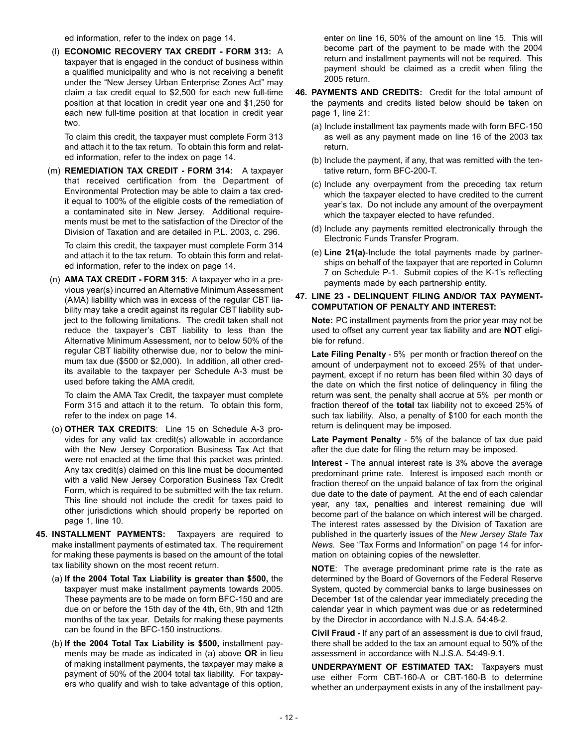ed information, refer to the index on page 14.

(l) **ECONOMIC RECOVERY TAX CREDIT - FORM 313:** A taxpayer that is engaged in the conduct of business within a qualified municipality and who is not receiving a benefit under the "New Jersey Urban Enterprise Zones Act" may claim a tax credit equal to \$2,500 for each new full-time position at that location in credit year one and \$1,250 for each new full-time position at that location in credit year two.

To claim this credit, the taxpayer must complete Form 313 and attach it to the tax return. To obtain this form and related information, refer to the index on page 14.

(m) **REMEDIATION TAX CREDIT - FORM 314:** A taxpayer that received certification from the Department of Environmental Protection may be able to claim a tax credit equal to 100% of the eligible costs of the remediation of a contaminated site in New Jersey. Additional requirements must be met to the satisfaction of the Director of the Division of Taxation and are detailed in P.L. 2003, c. 296.

To claim this credit, the taxpayer must complete Form 314 and attach it to the tax return. To obtain this form and related information, refer to the index on page 14.

(n) **AMA TAX CREDIT - FORM 315**: A taxpayer who in a previous year(s) incurred an Alternative Minimum Assessment (AMA) liability which was in excess of the regular CBT liability may take a credit against its regular CBT liability subject to the following limitations. The credit taken shall not reduce the taxpayer's CBT liability to less than the Alternative Minimum Assessment, nor to below 50% of the regular CBT liability otherwise due, nor to below the minimum tax due (\$500 or \$2,000). In addition, all other credits available to the taxpayer per Schedule A-3 must be used before taking the AMA credit.

To claim the AMA Tax Credit, the taxpayer must complete Form 315 and attach it to the return. To obtain this form, refer to the index on page 14.

- (o) **OTHER TAX CREDITS**: Line 15 on Schedule A-3 provides for any valid tax credit(s) allowable in accordance with the New Jersey Corporation Business Tax Act that were not enacted at the time that this packet was printed. Any tax credit(s) claimed on this line must be documented with a valid New Jersey Corporation Business Tax Credit Form, which is required to be submitted with the tax return. This line should not include the credit for taxes paid to other jurisdictions which should properly be reported on page 1, line 10.
- **45. INSTALLMENT PAYMENTS:** Taxpayers are required to make installment payments of estimated tax. The requirement for making these payments is based on the amount of the total tax liability shown on the most recent return.
	- (a) **If the 2004 Total Tax Liability is greater than \$500,** the taxpayer must make installment payments towards 2005. These payments are to be made on form BFC-150 and are due on or before the 15th day of the 4th, 6th, 9th and 12th months of the tax year. Details for making these payments can be found in the BFC-150 instructions.
	- (b) **If the 2004 Total Tax Liability is \$500,** installment payments may be made as indicated in (a) above **OR** in lieu of making installment payments, the taxpayer may make a payment of 50% of the 2004 total tax liability. For taxpayers who qualify and wish to take advantage of this option,

enter on line 16, 50% of the amount on line 15. This will become part of the payment to be made with the 2004 return and installment payments will not be required. This payment should be claimed as a credit when filing the 2005 return.

- **46. PAYMENTS AND CREDITS:** Credit for the total amount of the payments and credits listed below should be taken on page 1, line 21:
	- (a) Include installment tax payments made with form BFC-150 as well as any payment made on line 16 of the 2003 tax return.
	- (b) Include the payment, if any, that was remitted with the tentative return, form BFC-200-T.
	- (c) Include any overpayment from the preceding tax return which the taxpayer elected to have credited to the current year's tax. Do not include any amount of the overpayment which the taxpayer elected to have refunded.
	- (d) Include any payments remitted electronically through the Electronic Funds Transfer Program.
	- (e) **Line 21(a)**-Include the total payments made by partnerships on behalf of the taxpayer that are reported in Column 7 on Schedule P-1. Submit copies of the K-1's reflecting payments made by each partnership entity.

#### **47. LINE 23 - DELINQUENT FILING AND/OR TAX PAYMENT-COMPUTATION OF PENALTY AND INTEREST:**

**Note:** PC installment payments from the prior year may not be used to offset any current year tax liability and are **NOT** eligible for refund.

**Late Filing Penalty** - 5% per month or fraction thereof on the amount of underpayment not to exceed 25% of that underpayment, except if no return has been filed within 30 days of the date on which the first notice of delinquency in filing the return was sent, the penalty shall accrue at 5% per month or fraction thereof of the **total** tax liability not to exceed 25% of such tax liability. Also, a penalty of \$100 for each month the return is delinquent may be imposed.

**Late Payment Penalty** - 5% of the balance of tax due paid after the due date for filing the return may be imposed.

**Interest** - The annual interest rate is 3% above the average predominant prime rate. Interest is imposed each month or fraction thereof on the unpaid balance of tax from the original due date to the date of payment. At the end of each calendar year, any tax, penalties and interest remaining due will become part of the balance on which interest will be charged. The interest rates assessed by the Division of Taxation are published in the quarterly issues of the *New Jersey State Tax News*. See "Tax Forms and Information" on page 14 for information on obtaining copies of the newsletter.

**NOTE**: The average predominant prime rate is the rate as determined by the Board of Governors of the Federal Reserve System, quoted by commercial banks to large businesses on December 1st of the calendar year immediately preceding the calendar year in which payment was due or as redetermined by the Director in accordance with N.J.S.A. 54:48-2.

**Civil Fraud -** If any part of an assessment is due to civil fraud, there shall be added to the tax an amount equal to 50% of the assessment in accordance with N.J.S.A. 54:49-9.1.

**UNDERPAYMENT OF ESTIMATED TAX:** Taxpayers must use either Form CBT-160-A or CBT-160-B to determine whether an underpayment exists in any of the installment pay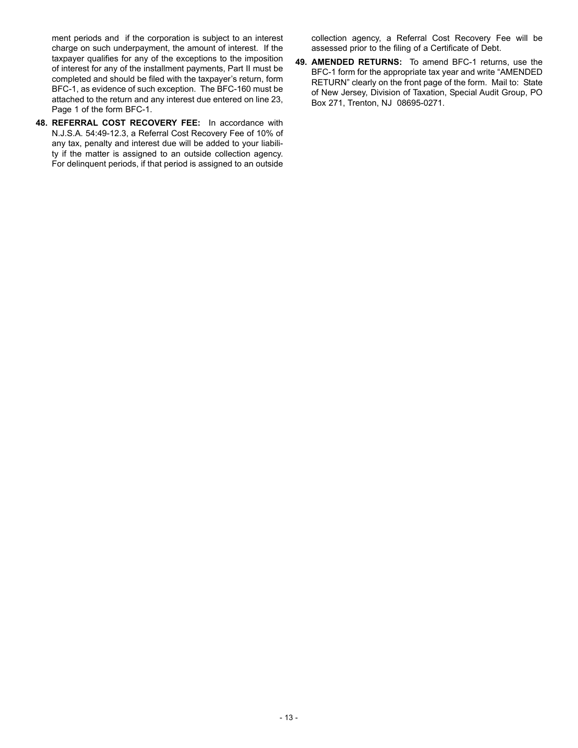ment periods and if the corporation is subject to an interest charge on such underpayment, the amount of interest. If the taxpayer qualifies for any of the exceptions to the imposition of interest for any of the installment payments, Part II must be completed and should be filed with the taxpayer's return, form BFC-1, as evidence of such exception. The BFC-160 must be attached to the return and any interest due entered on line 23, Page 1 of the form BFC-1.

**48. REFERRAL COST RECOVERY FEE:** In accordance with N.J.S.A. 54:49-12.3, a Referral Cost Recovery Fee of 10% of any tax, penalty and interest due will be added to your liability if the matter is assigned to an outside collection agency. For delinquent periods, if that period is assigned to an outside collection agency, a Referral Cost Recovery Fee will be assessed prior to the filing of a Certificate of Debt.

**49. AMENDED RETURNS:** To amend BFC-1 returns, use the BFC-1 form for the appropriate tax year and write "AMENDED RETURN" clearly on the front page of the form. Mail to: State of New Jersey, Division of Taxation, Special Audit Group, PO Box 271, Trenton, NJ 08695-0271.